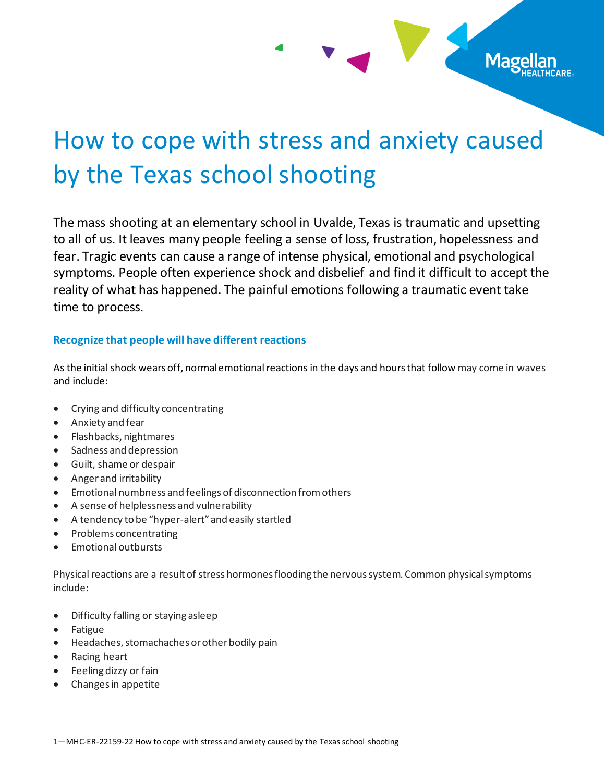# How to cope with stress and anxiety caused by the Texas school shooting

Mage

The mass shooting at an elementary school in Uvalde, Texas is traumatic and upsetting to all of us. It leaves many people feeling a sense of loss, frustration, hopelessness and fear. Tragic events can cause a range of intense physical, emotional and psychological symptoms. People often experience shock and disbelief and find it difficult to accept the reality of what has happened. The painful emotions following a traumatic event take time to process.

#### **Recognize that people will have different reactions**

As the initial shock wears off, normal emotional reactions in the days and hours that follow may come in waves and include:

- Crying and difficulty concentrating
- Anxiety and fear
- Flashbacks, nightmares
- Sadness and depression
- Guilt, shame or despair
- Anger and irritability
- Emotional numbness and feelings of disconnection from others
- A sense of helplessness and vulnerability
- A tendency to be "hyper-alert" and easily startled
- Problems concentrating
- Emotional outbursts

Physical reactions are a result of stress hormones flooding the nervous system. Common physical symptoms include:

- Difficulty falling or staying asleep
- Fatigue
- Headaches, stomachaches or other bodily pain
- Racing heart
- Feeling dizzy or fain
- Changes in appetite